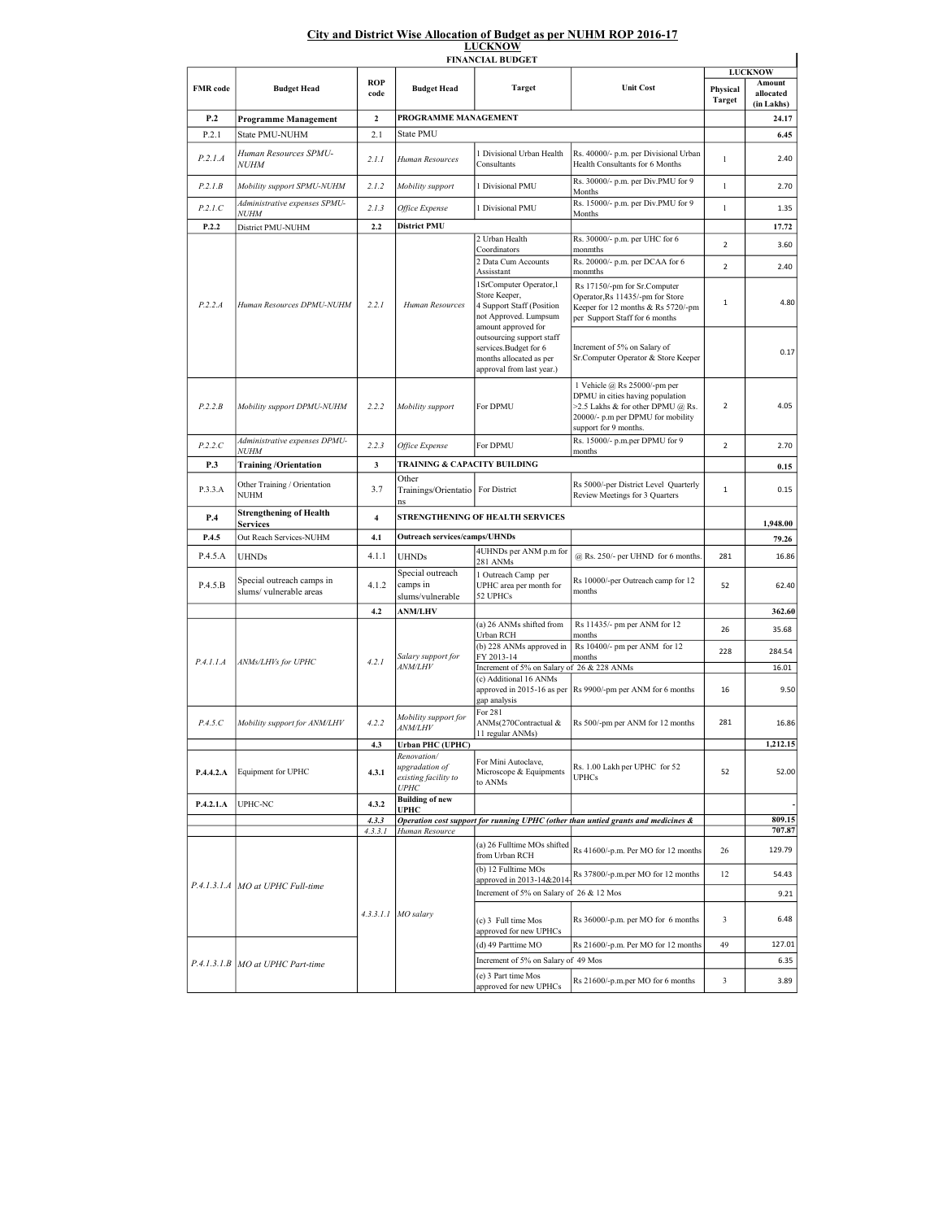## City and District Wise Allocation of Budget as per NUHM ROP 2016-17 LUCKNOW

| <b>FINANCIAL BUDGET</b> |                                                     |                         |                                                       |                                                                                                                       |                                                                                                                                                                     |                           |                                                     |  |  |  |  |
|-------------------------|-----------------------------------------------------|-------------------------|-------------------------------------------------------|-----------------------------------------------------------------------------------------------------------------------|---------------------------------------------------------------------------------------------------------------------------------------------------------------------|---------------------------|-----------------------------------------------------|--|--|--|--|
| <b>FMR</b> code         | <b>Budget Head</b>                                  | <b>ROP</b><br>code      | <b>Budget Head</b>                                    | <b>Target</b>                                                                                                         | <b>Unit Cost</b>                                                                                                                                                    | Physical<br><b>Target</b> | <b>LUCKNOW</b><br>Amount<br>allocated<br>(in Lakhs) |  |  |  |  |
| P.2                     | <b>Programme Management</b>                         | $\overline{2}$          | PROGRAMME MANAGEMENT                                  |                                                                                                                       |                                                                                                                                                                     |                           | 24.17                                               |  |  |  |  |
| P.2.1                   | State PMU-NUHM                                      | 2.1                     | <b>State PMU</b>                                      |                                                                                                                       |                                                                                                                                                                     |                           | 6.45                                                |  |  |  |  |
| P.2.1.A                 | Human Resources SPMU-<br><b>NUHM</b>                | 2.1.1                   | Human Resources                                       | 1 Divisional Urban Health<br>Consultants                                                                              | Rs. 40000/- p.m. per Divisional Urban<br>Health Consultants for 6 Months                                                                                            | $\mathbf{1}$              | 2.40                                                |  |  |  |  |
| P.2.1B                  | Mobility support SPMU-NUHM                          | 2.1.2                   | Mobility support                                      | 1 Divisional PMU                                                                                                      | Rs. 30000/- p.m. per Div.PMU for 9<br>Months                                                                                                                        | $\mathbf{1}$              | 2.70                                                |  |  |  |  |
| P.2.1.C                 | Administrative expenses SPMU-                       | 2.1.3                   | Office Expense                                        | 1 Divisional PMU                                                                                                      | Rs. 15000/- p.m. per Div.PMU for 9                                                                                                                                  | $\mathbf{1}$              | 1.35                                                |  |  |  |  |
| P.2.2                   | <i>NUHM</i><br>District PMU-NUHM                    | 2.2                     | <b>District PMU</b>                                   |                                                                                                                       | Months                                                                                                                                                              |                           | 17.72                                               |  |  |  |  |
|                         | Human Resources DPMU-NUHM                           | 2.2.1                   | Human Resources                                       | 2 Urban Health                                                                                                        | Rs. 30000/- p.m. per UHC for 6                                                                                                                                      | $\overline{2}$            | 3.60                                                |  |  |  |  |
|                         |                                                     |                         |                                                       | Coordinators<br>2 Data Cum Accounts                                                                                   | monmths<br>Rs. 20000/- p.m. per DCAA for 6                                                                                                                          | $\overline{2}$            | 2.40                                                |  |  |  |  |
|                         |                                                     |                         |                                                       | Assisstant                                                                                                            | monmths                                                                                                                                                             |                           |                                                     |  |  |  |  |
| P.2.2.A                 |                                                     |                         |                                                       | 1SrComputer Operator, l<br>Store Keeper,<br>4 Support Staff (Position<br>not Approved. Lumpsum<br>amount approved for | Rs 17150/-pm for Sr.Computer<br>Operator, Rs 11435/-pm for Store<br>Keeper for 12 months & Rs 5720/-pm<br>per Support Staff for 6 months                            | $\mathbf{1}$              | 4.80                                                |  |  |  |  |
|                         |                                                     |                         |                                                       | outsourcing support staff<br>services.Budget for 6<br>months allocated as per<br>approval from last year.)            | Increment of 5% on Salary of<br>Sr.Computer Operator & Store Keeper                                                                                                 |                           | 0.17                                                |  |  |  |  |
| P.2.2.B                 | Mobility support DPMU-NUHM                          | 2.2.2                   | Mobility support                                      | For DPMU                                                                                                              | 1 Vehicle @ Rs 25000/-pm per<br>DPMU in cities having population<br>>2.5 Lakhs & for other DPMU @ Rs.<br>20000/- p.m per DPMU for mobility<br>support for 9 months. | $\overline{2}$            | 4.05                                                |  |  |  |  |
| P.2.2.C                 | Administrative expenses DPMU-<br><i>NUHM</i>        | 2.2.3                   | Office Expense                                        | For DPMU                                                                                                              | Rs. 15000/- p.m.per DPMU for 9<br>months                                                                                                                            | $\overline{2}$            | 2.70                                                |  |  |  |  |
| P.3                     | <b>Training/Orientation</b>                         | 3                       | TRAINING & CAPACITY BUILDING                          |                                                                                                                       |                                                                                                                                                                     |                           | 0.15                                                |  |  |  |  |
| P.3.3.A                 | Other Training / Orientation<br>NUHM                | 3.7                     | Other<br>Trainings/Orientatio   For District          |                                                                                                                       | Rs 5000/-per District Level Quarterly<br>Review Meetings for 3 Quarters                                                                                             | $\mathbf{1}$              | 0.15                                                |  |  |  |  |
| P.4                     | <b>Strengthening of Health</b>                      | $\overline{\mathbf{4}}$ |                                                       | STRENGTHENING OF HEALTH SERVICES                                                                                      |                                                                                                                                                                     |                           | 1,948.00                                            |  |  |  |  |
| P.4.5                   | <b>Services</b><br>Out Reach Services-NUHM          | 4.1                     | <b>Outreach services/camps/UHNDs</b>                  |                                                                                                                       |                                                                                                                                                                     |                           | 79.26                                               |  |  |  |  |
| P.4.5.A                 | <b>UHNDs</b>                                        | 4.1.1                   | <b>UHNDs</b>                                          | 4UHNDs per ANM p.m for                                                                                                | $@$ Rs. 250/- per UHND for 6 months.                                                                                                                                | 281                       | 16.86                                               |  |  |  |  |
| P.4.5.B                 | Special outreach camps in<br>slums/vulnerable areas | 4.1.2                   | Special outreach<br>camps in<br>slums/vulnerable      | 281 ANMs<br>1 Outreach Camp per<br>UPHC area per month for<br>52 UPHCs                                                | Rs 10000/-per Outreach camp for 12<br>months                                                                                                                        | 52                        | 62.40                                               |  |  |  |  |
|                         |                                                     | 4.2                     | <b>ANM/LHV</b>                                        |                                                                                                                       |                                                                                                                                                                     |                           | 362.60                                              |  |  |  |  |
|                         | ANMs/LHVs for UPHC                                  | 4.2.1                   | Salary support for<br><b>ANM/LHV</b>                  | (a) 26 ANMs shifted from<br>Urban RCH                                                                                 | Rs 11435/- pm per ANM for 12<br>months                                                                                                                              | 26                        | 35.68                                               |  |  |  |  |
|                         |                                                     |                         |                                                       | (b) 228 ANMs approved in                                                                                              | Rs 10400/- pm per ANM for 12                                                                                                                                        | 228                       | 284.54                                              |  |  |  |  |
| P.4.1.1.A               |                                                     |                         |                                                       | FY 2013-14<br>Increment of 5% on Salary of 26 & 228 ANMs                                                              | months                                                                                                                                                              |                           | 16.01                                               |  |  |  |  |
|                         |                                                     |                         |                                                       | (c) Additional 16 ANMs                                                                                                | approved in 2015-16 as per  Rs 9900/-pm per ANM for 6 months                                                                                                        | 16                        | 9.50                                                |  |  |  |  |
|                         |                                                     |                         |                                                       | gap analysis                                                                                                          |                                                                                                                                                                     |                           |                                                     |  |  |  |  |
| P.4.5.C                 | Mobility support for ANM/LHV                        | 4.2.2                   | Mobility support for<br><i>ANM/LHV</i>                | For 281<br>ANMs(270Contractual &<br>11 regular ANMs)                                                                  | Rs 500/-pm per ANM for 12 months                                                                                                                                    | 281                       | 16.86                                               |  |  |  |  |
|                         |                                                     | 4.3                     | <b>Urban PHC (UPHC)</b><br>Renovation/                |                                                                                                                       |                                                                                                                                                                     |                           | 1,212.15                                            |  |  |  |  |
| P.4.4.2.A               | Equipment for UPHC                                  | 4.3.1                   | upgradation of<br>existing facility to<br><b>UPHC</b> | For Mini Autoclave,<br>Microscope & Equipments<br>to ANMs                                                             | Rs. 1.00 Lakh per UPHC for 52<br><b>UPHCs</b>                                                                                                                       | 52                        | 52.00                                               |  |  |  |  |
| P.4.2.1.A               | UPHC-NC                                             | 4.3.2                   | <b>Building of new</b><br><b>UPHC</b>                 |                                                                                                                       |                                                                                                                                                                     |                           |                                                     |  |  |  |  |
|                         |                                                     | 4.3.3                   |                                                       |                                                                                                                       | Operation cost support for running UPHC (other than untied grants and medicines &                                                                                   |                           | 809.15<br>707.87                                    |  |  |  |  |
|                         | P.4.1.3.1.A   MO at UPHC Full-time                  | 4.3.3.1                 | Human Resource<br>$4.3.3.1.1$ MO salary               | (a) 26 Fulltime MOs shifted                                                                                           |                                                                                                                                                                     |                           | 129.79                                              |  |  |  |  |
|                         |                                                     |                         |                                                       | from Urban RCH<br>(b) 12 Fulltime MOs                                                                                 | Rs 41600/-p.m. Per MO for 12 months<br>Rs 37800/-p.m.per MO for 12 months                                                                                           | 26<br>12                  | 54.43                                               |  |  |  |  |
|                         |                                                     |                         |                                                       | approved in 2013-14&2014<br>Increment of 5% on Salary of 26 & 12 Mos                                                  |                                                                                                                                                                     |                           | 9.21                                                |  |  |  |  |
|                         |                                                     |                         |                                                       | (c) 3 Full time Mos                                                                                                   | Rs 36000/-p.m. per MO for 6 months                                                                                                                                  | 3                         | 6.48                                                |  |  |  |  |
|                         |                                                     |                         |                                                       | approved for new UPHCs<br>(d) 49 Parttime MO                                                                          | Rs 21600/-p.m. Per MO for 12 months                                                                                                                                 | 49                        | 127.01                                              |  |  |  |  |
|                         | P.4.1.3.1.B   MO at UPHC Part-time                  |                         |                                                       | Increment of 5% on Salary of 49 Mos                                                                                   |                                                                                                                                                                     |                           | 6.35                                                |  |  |  |  |
|                         |                                                     |                         |                                                       | (e) 3 Part time Mos                                                                                                   | Rs 21600/-p.m.per MO for 6 months                                                                                                                                   | 3                         | 3.89                                                |  |  |  |  |
|                         |                                                     |                         |                                                       | approved for new UPHCs                                                                                                |                                                                                                                                                                     |                           |                                                     |  |  |  |  |